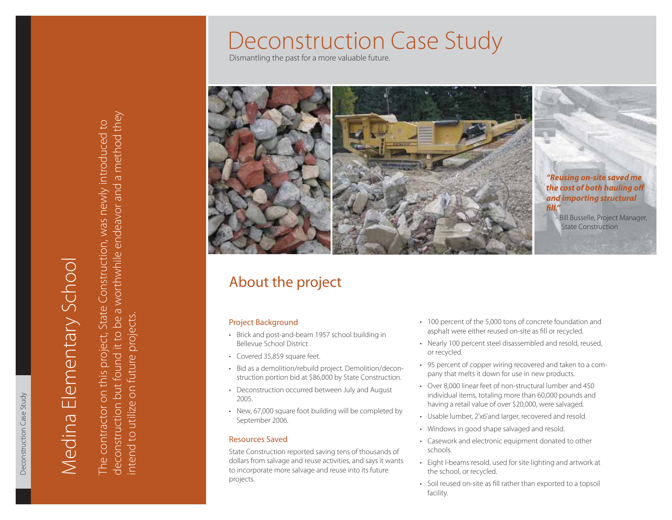Dismantling the past for a more valuable future.



# About the project

## Project Background

- Brick and post-and-beam 1957 school building in Bellevue School District .
- Covered 35,859 square feet.
- Bid as a demolition/rebuild project. Demolition/deconstruction portion bid at \$86,000 by State Construction.
- Deconstruction occurred between July and August 2005.
- New, 67,000 square foot building will be completed by September 2006.

## Resources Saved

State Construction reported saving tens of thousands of dollars from salvage and reuse activities, and says it wants to incorporate more salvage and reuse into its future projects.

- 100 percent of the 5,000 tons of concrete foundation and asphalt were either reused on-site as fill or recycled.
- Nearly 100 percent steel disassembled and resold, reused, or recycled.
- 95 percent of copper wiring recovered and taken to a com-• pany that melts it down for use in new products.
- Over 8,000 linear feet of non-structural lumber and 450 •individual items, totaling more than 60,000 pounds and having a retail value of over \$20,000, were salvaged.
- Usable lumber, 2'x6'and larger, recovered and resold. •
- Windows in good shape salvaged and resold.
- Casework and electronic equipment donated to other schools.
- Eight I-beams resold, used for site lighting and artwork at the school, or recycled.
- Soil reused on-site as fill rather than exported to a topsoil facility.

Deconstruction Case Study

Deconstruction Case Study

deconstruction but found it to be a worthwhile endeavor and a method they deconstruction but found it to be a worthwhile endeavor and a method they The contractor on this project, State Construction, was newly introduced to The contractor on this project, State Construction, was newly introduced to

intend to utilize on future projects.

ntend to utilize on future projects.